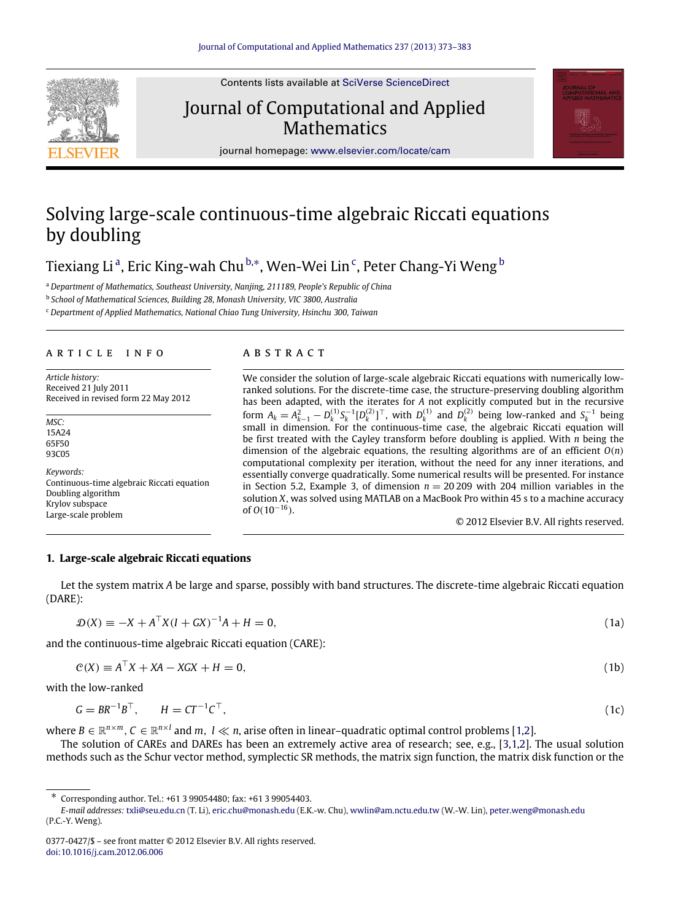

Contents lists available at [SciVerse ScienceDirect](http://www.elsevier.com/locate/cam)

## Journal of Computational and Applied **Mathematics**



journal homepage: [www.elsevier.com/locate/cam](http://www.elsevier.com/locate/cam)

# Solving large-scale continuous-time algebraic Riccati equations by doubling

## Tiexi[a](#page-0-0)ng Liª, Eric King-wah Chu<sup>[b,](#page-0-1)</sup>\*, Wen-Wei Lin<sup>[c](#page-0-3)</sup>, Peter Chang-Yi Weng<sup>[b](#page-0-1)</sup>

<span id="page-0-0"></span><sup>a</sup> *Department of Mathematics, Southeast University, Nanjing, 211189, People's Republic of China*

<span id="page-0-1"></span>b *School of Mathematical Sciences, Building 28, Monash University, VIC 3800, Australia*

<span id="page-0-3"></span><sup>c</sup> *Department of Applied Mathematics, National Chiao Tung University, Hsinchu 300, Taiwan*

### a r t i c l e i n f o

*Article history:* Received 21 July 2011 Received in revised form 22 May 2012

*MSC:* 15A24 65F50 93C05 *Keywords:*

Continuous-time algebraic Riccati equation Doubling algorithm Krylov subspace Large-scale problem

## a b s t r a c t

We consider the solution of large-scale algebraic Riccati equations with numerically lowranked solutions. For the discrete-time case, the structure-preserving doubling algorithm has been adapted, with the iterates for *A* not explicitly computed but in the recursive form  $A_k = A_{k-1}^2 - D_k^{(1)} S_k^{-1} [D_k^{(2)}]^T$ , with  $D_k^{(1)}$  and  $D_k^{(2)}$  being low-ranked and  $S_k^{-1}$  being small in dimension. For the continuous-time case, the algebraic Riccati equation will be first treated with the Cayley transform before doubling is applied. With *n* being the dimension of the algebraic equations, the resulting algorithms are of an efficient *O*(*n*) computational complexity per iteration, without the need for any inner iterations, and essentially converge quadratically. Some numerical results will be presented. For instance in Section 5.2, Example 3, of dimension  $n = 20209$  with 204 million variables in the solution *X*, was solved using MATLAB on a MacBook Pro within 45 s to a machine accuracy of *O*(10−<sup>16</sup>).

<span id="page-0-6"></span><span id="page-0-5"></span><span id="page-0-4"></span>© 2012 Elsevier B.V. All rights reserved.

## **1. Large-scale algebraic Riccati equations**

Let the system matrix *A* be large and sparse, possibly with band structures. The discrete-time algebraic Riccati equation (DARE):

$$
\mathcal{D}(X) \equiv -X + A^{\top} X (I + GX)^{-1} A + H = 0,\tag{1a}
$$

and the continuous-time algebraic Riccati equation (CARE):

$$
C(X) \equiv A^{\top} X + XA - XGX + H = 0,\tag{1b}
$$

with the low-ranked

$$
G = BR^{-1}B^{T}, \qquad H = CT^{-1}C^{T}, \tag{1c}
$$

where  $B \in \mathbb{R}^{n \times m}$ ,  $C \in \mathbb{R}^{n \times l}$  and  $m, l \ll n$ , arise often in linear–quadratic optimal control problems [\[1,](#page-10-0)[2\]](#page-10-1).

The solution of CAREs and DAREs has been an extremely active area of research; see, e.g., [\[3,](#page-10-2)[1](#page-10-0)[,2\]](#page-10-1). The usual solution methods such as the Schur vector method, symplectic SR methods, the matrix sign function, the matrix disk function or the

<span id="page-0-2"></span><sup>∗</sup> Corresponding author. Tel.: +61 3 99054480; fax: +61 3 99054403.

*E-mail addresses:* [txli@seu.edu.cn](mailto:txli@seu.edu.cn) (T. Li), [eric.chu@monash.edu](mailto:eric.chu@monash.edu) (E.K.-w. Chu), [wwlin@am.nctu.edu.tw](mailto:wwlin@am.nctu.edu.tw) (W.-W. Lin), [peter.weng@monash.edu](mailto:peter.weng@monash.edu) (P.C.-Y. Weng).

<sup>0377-0427/\$ –</sup> see front matter © 2012 Elsevier B.V. All rights reserved. [doi:10.1016/j.cam.2012.06.006](http://dx.doi.org/10.1016/j.cam.2012.06.006)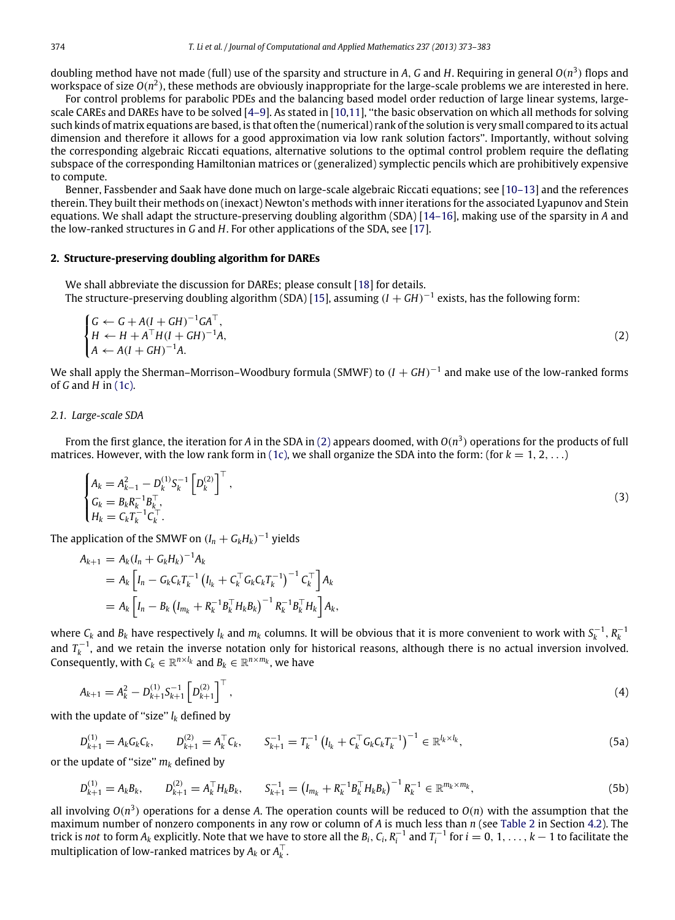doubling method have not made (full) use of the sparsity and structure in *A*, *G* and *H*. Requiring in general *O*(*n* 3 ) flops and workspace of size  $O(n^2)$ , these methods are obviously inappropriate for the large-scale problems we are interested in here.

For control problems for parabolic PDEs and the balancing based model order reduction of large linear systems, largescale CAREs and DAREs have to be solved [\[4–9\]](#page-10-3). As stated in [\[10](#page-10-4)[,11\]](#page-10-5), ''the basic observation on which all methods for solving such kinds of matrix equations are based, is that often the (numerical) rank of the solution is very small compared to its actual dimension and therefore it allows for a good approximation via low rank solution factors''. Importantly, without solving the corresponding algebraic Riccati equations, alternative solutions to the optimal control problem require the deflating subspace of the corresponding Hamiltonian matrices or (generalized) symplectic pencils which are prohibitively expensive to compute.

Benner, Fassbender and Saak have done much on large-scale algebraic Riccati equations; see [\[10–13\]](#page-10-4) and the references therein. They built their methods on (inexact) Newton's methods with inner iterations for the associated Lyapunov and Stein equations. We shall adapt the structure-preserving doubling algorithm (SDA) [\[14–16\]](#page-10-6), making use of the sparsity in *A* and the low-ranked structures in *G* and *H*. For other applications of the SDA, see [\[17\]](#page-10-7).

#### **2. Structure-preserving doubling algorithm for DAREs**

We shall abbreviate the discussion for DAREs; please consult [\[18\]](#page-10-8) for details. The structure-preserving doubling algorithm (SDA) [\[15\]](#page-10-9), assuming  $(I+G\!H)^{-1}$  exists, has the following form:

<span id="page-1-0"></span>
$$
\begin{cases}\nG \leftarrow G + A(I + GH)^{-1}GA^{\top}, \\
H \leftarrow H + A^{\top}H(I + GH)^{-1}A, \\
A \leftarrow A(I + GH)^{-1}A.\n\end{cases}
$$
\n(2)

We shall apply the Sherman–Morrison–Woodbury formula (SMWF) to  $(I+GH)^{-1}$  and make use of the low-ranked forms of *G* and *H* in [\(1c\).](#page-0-4)

## *2.1. Large-scale SDA*

From the first glance, the iteration for *A* in the SDA in [\(2\)](#page-1-0) appears doomed, with *O*(*n* 3 ) operations for the products of full matrices. However, with the low rank form in [\(1c\),](#page-0-4) we shall organize the SDA into the form: (for  $k = 1, 2, \ldots$ )

<span id="page-1-4"></span>
$$
\begin{cases}\nA_k = A_{k-1}^2 - D_k^{(1)} S_k^{-1} \left[ D_k^{(2)} \right]^\top, \\
G_k = B_k R_k^{-1} B_k^\top, \\
H_k = C_k T_k^{-1} C_k^\top.\n\end{cases} \tag{3}
$$

The application of the SMWF on  $(I_n + G_k H_k)^{-1}$  yields

$$
A_{k+1} = A_k (I_n + G_k H_k)^{-1} A_k
$$
  
=  $A_k \left[ I_n - G_k C_k T_k^{-1} (I_{l_k} + C_k^\top G_k C_k T_k^{-1})^{-1} C_k^\top \right] A_k$   
=  $A_k \left[ I_n - B_k (I_{m_k} + R_k^{-1} B_k^\top H_k B_k)^{-1} R_k^{-1} B_k^\top H_k \right] A_k$ ,

where  $C_k$  and  $B_k$  have respectively  $l_k$  and  $m_k$  columns. It will be obvious that it is more convenient to work with  $S_k^{-1}$ ,  $R_k^{-1}$ and  $T_k^{-1}$ , and we retain the inverse notation only for historical reasons, although there is no actual inversion involved. Consequently, with  $C_k \in \mathbb{R}^{n \times l_k}$  and  $B_k \in \mathbb{R}^{n \times m_k}$ , we have

<span id="page-1-3"></span><span id="page-1-1"></span>
$$
A_{k+1} = A_k^2 - D_{k+1}^{(1)} S_{k+1}^{-1} \left[ D_{k+1}^{(2)} \right]^\top,
$$
\n(4)

with the update of "size"  $l_k$  defined by

$$
D_{k+1}^{(1)} = A_k G_k C_k, \qquad D_{k+1}^{(2)} = A_k^{\top} C_k, \qquad S_{k+1}^{-1} = T_k^{-1} \left( I_{l_k} + C_k^{\top} G_k C_k T_k^{-1} \right)^{-1} \in \mathbb{R}^{l_k \times l_k}, \tag{5a}
$$

or the update of "size"  $m_k$  defined by

<span id="page-1-2"></span>
$$
D_{k+1}^{(1)} = A_k B_k, \qquad D_{k+1}^{(2)} = A_k^{\top} H_k B_k, \qquad S_{k+1}^{-1} = \left( I_{m_k} + R_k^{-1} B_k^{\top} H_k B_k \right)^{-1} R_k^{-1} \in \mathbb{R}^{m_k \times m_k},\tag{5b}
$$

all involving  $O(n^3)$  operations for a dense A. The operation counts will be reduced to  $O(n)$  with the assumption that the maximum number of nonzero components in any row or column of *A* is much less than *n* (see [Table 2](#page-7-0) in Section [4.2\)](#page-6-0). The trick is not to form  $A_k$  explicitly. Note that we have to store all the  $B_i$ ,  $C_i$ ,  $R_i^{-1}$  and  $T_i^{-1}$  for  $i=0,1,\ldots,k-1$  to facilitate the multiplication of low-ranked matrices by  $A_k$  or  $A_k^\top$ .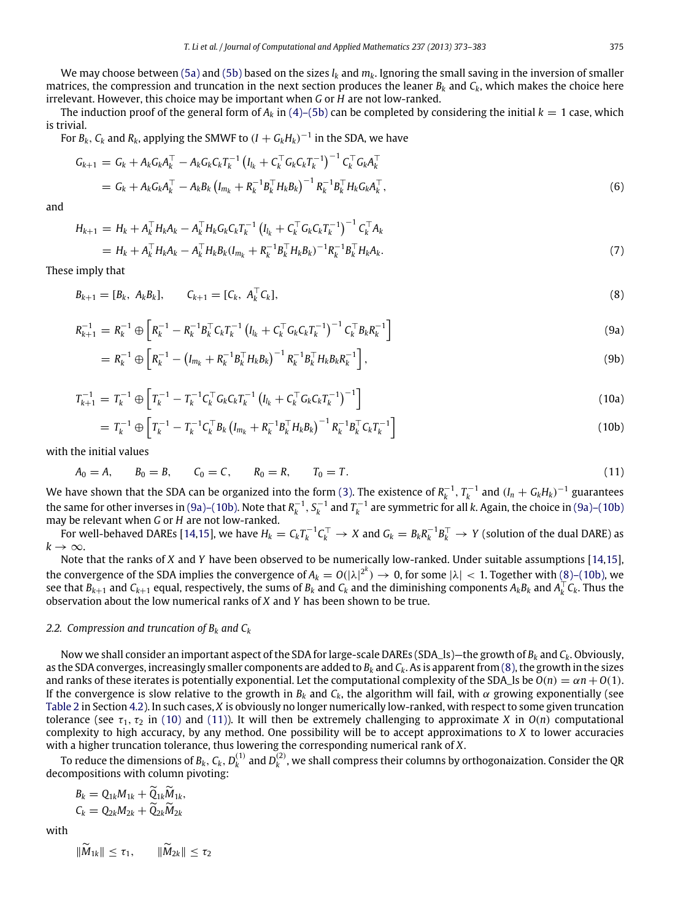The induction proof of the general form of  $A_k$  in [\(4\)–\(5b\)](#page-1-3) can be completed by considering the initial  $k = 1$  case, which is trivial.

For  $B_k$ ,  $C_k$  and  $R_k$ , applying the SMWF to  $(I + G_k H_k)^{-1}$  in the SDA, we have

$$
G_{k+1} = G_k + A_k G_k A_k^{\top} - A_k G_k C_k T_k^{-1} (I_{l_k} + C_k^{\top} G_k C_k T_k^{-1})^{-1} C_k^{\top} G_k A_k^{\top}
$$
  
=  $G_k + A_k G_k A_k^{\top} - A_k B_k (I_{m_k} + R_k^{-1} B_k^{\top} H_k B_k)^{-1} R_k^{-1} B_k^{\top} H_k G_k A_k^{\top}$ , (6)

and

<span id="page-2-7"></span>
$$
H_{k+1} = H_k + A_k^{\top} H_k A_k - A_k^{\top} H_k G_k C_k T_k^{-1} (I_{l_k} + C_k^{\top} G_k C_k T_k^{-1})^{-1} C_k^{\top} A_k
$$
  
=  $H_k + A_k^{\top} H_k A_k - A_k^{\top} H_k B_k (I_{m_k} + R_k^{-1} B_k^{\top} H_k B_k)^{-1} R_k^{-1} B_k^{\top} H_k A_k.$  (7)

These imply that

$$
B_{k+1} = [B_k, A_k B_k], \qquad C_{k+1} = [C_k, A_k^{\top} C_k], \qquad (8)
$$

$$
R_{k+1}^{-1} = R_k^{-1} \oplus \left[ R_k^{-1} - R_k^{-1} B_k^{\top} C_k T_k^{-1} \left( I_{l_k} + C_k^{\top} G_k C_k T_k^{-1} \right)^{-1} C_k^{\top} B_k R_k^{-1} \right]
$$
\n(9a)

<span id="page-2-8"></span><span id="page-2-4"></span><span id="page-2-1"></span>
$$
= R_k^{-1} \oplus \left[ R_k^{-1} - \left( I_{m_k} + R_k^{-1} B_k^\top H_k B_k \right)^{-1} R_k^{-1} B_k^\top H_k B_k R_k^{-1} \right], \tag{9b}
$$

<span id="page-2-2"></span>
$$
T_{k+1}^{-1} = T_k^{-1} \oplus \left[ T_k^{-1} - T_k^{-1} C_k^{\top} G_k C_k T_k^{-1} \left( I_{l_k} + C_k^{\top} G_k C_k T_k^{-1} \right)^{-1} \right]
$$
\n(10a)

<span id="page-2-6"></span><span id="page-2-5"></span><span id="page-2-3"></span><span id="page-2-0"></span>
$$
= T_k^{-1} \oplus \left[ T_k^{-1} - T_k^{-1} C_k^{\top} B_k \left( I_{m_k} + R_k^{-1} B_k^{\top} H_k B_k \right)^{-1} R_k^{-1} B_k^{\top} C_k T_k^{-1} \right] \tag{10b}
$$

with the initial values

$$
A_0 = A, \qquad B_0 = B, \qquad C_0 = C, \qquad R_0 = R, \qquad T_0 = T. \tag{11}
$$

We have shown that the SDA can be organized into the form [\(3\).](#page-1-4) The existence of  $R_k^{-1}$ ,  $T_k^{-1}$  and  $(I_n+G_kH_k)^{-1}$  guarantees the same for other inverses in [\(9a\)–\(10b\).](#page-2-0) Note that  $R_k^{-1}$ ,  $S_k^{-1}$  and  $T_k^{-1}$  are symmetric for all  $k$ . Again, the choice in [\(9a\)–\(10b\)](#page-2-0) may be relevant when *G* or *H* are not low-ranked.

 $\bar{F}$  for well-behaved DAREs [\[14,](#page-10-6)[15\]](#page-10-9), we have  $H_k=C_kT_k^{-1}C_k^\top\to X$  and  $G_k=B_kR_k^{-1}B_k^\top\to Y$  (solution of the dual DARE) as  $k \rightarrow \infty$ .

Note that the ranks of *X* and *Y* have been observed to be numerically low-ranked. Under suitable assumptions [\[14,](#page-10-6)[15\]](#page-10-9), the convergence of the SDA implies the convergence of  $A_k=O(|\lambda|^{2^k})\to 0$ , for some  $|\lambda|< 1$ . Together with [\(8\)–\(10b\),](#page-2-1) we see that  $B_{k+1}$  and  $C_{k+1}$  equal, respectively, the sums of  $B_k$  and  $C_k$  and the diminishing components  $A_kB_k$  and  $A_k^{\dagger}C_k$ . Thus the observation about the low numerical ranks of *X* and *Y* has been shown to be true.

#### <span id="page-2-9"></span>*2.2. Compression and truncation of B<sup>k</sup> and C<sup>k</sup>*

Now we shall consider an important aspect of the SDA for large-scale DAREs (SDA\_ls)—the growth of *B<sup>k</sup>* and *Ck*. Obviously, as the SDA converges, increasingly smaller components are added to  $B_k$  and  $C_k$ . As is apparent from  $(8)$ , the growth in the sizes and ranks of these iterates is potentially exponential. Let the computational complexity of the SDA\_ls be  $O(n) = \alpha n + O(1)$ . If the convergence is slow relative to the growth in  $B_k$  and  $C_k$ , the algorithm will fail, with  $\alpha$  growing exponentially (see [Table 2](#page-7-0) in Section [4.2\)](#page-6-0). In such cases, *X* is obviously no longer numerically low-ranked, with respect to some given truncation tolerance (see  $\tau_1$ ,  $\tau_2$  in [\(10\)](#page-2-2) and [\(11\)\)](#page-2-3). It will then be extremely challenging to approximate *X* in  $O(n)$  computational complexity to high accuracy, by any method. One possibility will be to accept approximations to *X* to lower accuracies with a higher truncation tolerance, thus lowering the corresponding numerical rank of *X*.

To reduce the dimensions of  $B_k$ ,  $C_k$ ,  $D_k^{(1)}$  and  $D_k^{(2)}$ , we shall compress their columns by orthogonaization. Consider the QR decompositions with column pivoting:

$$
B_k = Q_{1k}M_{1k} + \widetilde{Q}_{1k}\widetilde{M}_{1k},
$$
  
\n
$$
C_k = Q_{2k}M_{2k} + \widetilde{Q}_{2k}\widetilde{M}_{2k}
$$

with

 $\|\widetilde{M}_{1k}\| < \tau_1, \qquad \|\widetilde{M}_{2k}\| < \tau_2$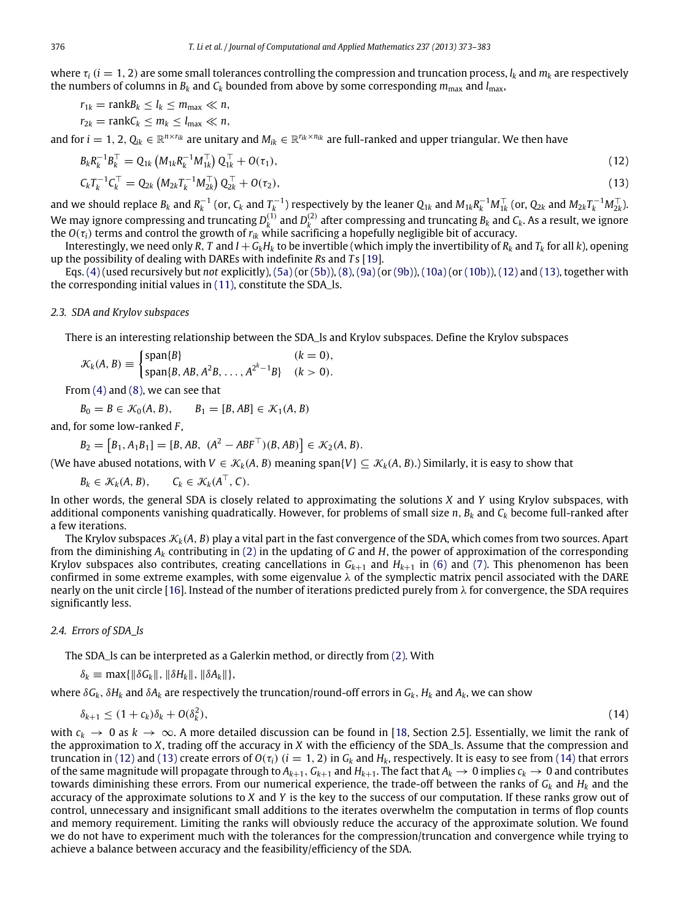where  $\tau_i$  ( $i = 1, 2$ ) are some small tolerances controlling the compression and truncation process,  $l_k$  and  $m_k$  are respectively the numbers of columns in  $B_k$  and  $C_k$  bounded from above by some corresponding  $m_{\text{max}}$  and  $l_{\text{max}}$ 

 $r_{1k}$  = rank $B_k$  <  $l_k$  <  $m_{\text{max}} \ll n$ ,

<span id="page-3-0"></span>
$$
r_{2k} = \text{rank} C_k \le m_k \le l_{\text{max}} \ll n,
$$

and for  $i = 1, 2, Q_{ik} \in \mathbb{R}^{n \times r_{ik}}$  are unitary and  $M_{ik} \in \mathbb{R}^{r_{ik} \times n_{ik}}$  are full-ranked and upper triangular. We then have

<span id="page-3-1"></span>
$$
B_k R_k^{-1} B_k^{\top} = Q_{1k} \left( M_{1k} R_k^{-1} M_{1k}^{\top} \right) Q_{1k}^{\top} + O(\tau_1),
$$
\n
$$
C_k T^{-1} C_{1k}^{\top} = Q_{1k} \left( M_{1k} T^{-1} M_{1k}^{\top} \right) Q_{1k}^{\top} + O(\tau_1),
$$
\n(12)

$$
C_k T_k^{-1} C_k^{\top} = Q_{2k} \left( M_{2k} T_k^{-1} M_{2k}^{\top} \right) Q_{2k}^{\top} + O(\tau_2), \tag{13}
$$

and we should replace  $B_k$  and  $R_k^{-1}$  (or,  $C_k$  and  $T_k^{-1}$ ) respectively by the leaner  $Q_{1k}$  and  $M_{1k}R_k^{-1}M_{1k}^\top$  (or,  $Q_{2k}$  and  $M_{2k}T_k^{-1}M_{2k}^\top$ ). We may ignore compressing and truncating  $D_k^{(1)}$  and  $D_k^{(2)}$  after compressing and truncating  $B_k$  and  $C_k$ . As a result, we ignore the  $O(\tau_i)$  terms and control the growth of  $r_{ik}$  while sacrificing a hopefully negligible bit of accuracy.

Interestingly, we need only  $\overline{R}$ ,  $T$  and  $I + G_k H_k$  to be invertible (which imply the invertibility of  $R_k$  and  $T_k$  for all  $k$ ), opening up the possibility of dealing with DAREs with indefinite *R*s and *T* s [\[19\]](#page-10-10).

Eqs. [\(4\)](#page-1-3) (used recursively but *not* explicitly), [\(5a\)](#page-1-1) (or [\(5b\)\)](#page-1-2), [\(8\),](#page-2-1) [\(9a\)](#page-2-4) (or [\(9b\)\)](#page-2-5), [\(10a\)](#page-2-0) (or [\(10b\)\)](#page-2-6), [\(12\)](#page-3-0) and [\(13\),](#page-3-1) together with the corresponding initial values in [\(11\),](#page-2-3) constitute the SDA\_ls.

## *2.3. SDA and Krylov subspaces*

There is an interesting relationship between the SDA\_ls and Krylov subspaces. Define the Krylov subspaces

$$
\mathcal{K}_k(A, B) \equiv \begin{cases} \text{span}\{B\} & (k = 0), \\ \text{span}\{B, AB, A^2B, \dots, A^{2^k-1}B\} & (k > 0). \end{cases}
$$

From [\(4\)](#page-1-3) and [\(8\),](#page-2-1) we can see that

$$
B_0 = B \in \mathcal{K}_0(A, B), \qquad B_1 = [B, AB] \in \mathcal{K}_1(A, B)
$$

and, for some low-ranked *F* ,

$$
B_2 = [B_1, A_1B_1] = [B, AB, (A^2 - ABF^T)(B, AB)] \in \mathcal{K}_2(A, B).
$$

(We have abused notations, with  $V \in \mathcal{K}_k(A, B)$  meaning span $\{V\} \subseteq \mathcal{K}_k(A, B)$ .) Similarly, it is easy to show that

 $B_k \in \mathcal{K}_k(A, B)$ , ⊤ , *C*).

In other words, the general SDA is closely related to approximating the solutions *X* and *Y* using Krylov subspaces, with additional components vanishing quadratically. However, for problems of small size *n*, *B<sup>k</sup>* and *C<sup>k</sup>* become full-ranked after a few iterations.

The Krylov subspaces  $K_k(A, B)$  play a vital part in the fast convergence of the SDA, which comes from two sources. Apart from the diminishing  $A_k$  contributing in [\(2\)](#page-1-0) in the updating of G and H, the power of approximation of the corresponding Krylov subspaces also contributes, creating cancellations in  $G_{k+1}$  and  $H_{k+1}$  in [\(6\)](#page-2-7) and [\(7\).](#page-2-8) This phenomenon has been confirmed in some extreme examples, with some eigenvalue  $\lambda$  of the symplectic matrix pencil associated with the DARE nearly on the unit circle [\[16\]](#page-10-11). Instead of the number of iterations predicted purely from  $\lambda$  for convergence, the SDA requires significantly less.

*2.4. Errors of SDA\_ls*

The SDA\_ls can be interpreted as a Galerkin method, or directly from [\(2\).](#page-1-0) With

<span id="page-3-2"></span>
$$
\delta_k \equiv \max\{\|\delta G_k\|, \|\delta H_k\|, \|\delta A_k\|\},\
$$

where  $\delta G_k$ ,  $\delta H_k$  and  $\delta A_k$  are respectively the truncation/round-off errors in  $G_k$ ,  $H_k$  and  $A_k$ , we can show

$$
\delta_{k+1} \le (1 + c_k)\delta_k + O(\delta_k^2),\tag{14}
$$

with  $c_k \to 0$  as  $k \to \infty$ . A more detailed discussion can be found in [\[18,](#page-10-8) Section 2.5]. Essentially, we limit the rank of the approximation to *X*, trading off the accuracy in *X* with the efficiency of the SDA\_ls. Assume that the compression and truncation in [\(12\)](#page-3-0) and [\(13\)](#page-3-1) create errors of  $O(\tau_i)$  ( $i = 1, 2$ ) in  $G_k$  and  $H_k$ , respectively. It is easy to see from [\(14\)](#page-3-2) that errors of the same magnitude will propagate through to  $A_{k+1}$ ,  $G_{k+1}$  and  $H_{k+1}$ . The fact that  $A_k \to 0$  implies  $c_k \to 0$  and contributes towards diminishing these errors. From our numerical experience, the trade-off between the ranks of *G<sup>k</sup>* and *H<sup>k</sup>* and the accuracy of the approximate solutions to *X* and *Y* is the key to the success of our computation. If these ranks grow out of control, unnecessary and insignificant small additions to the iterates overwhelm the computation in terms of flop counts and memory requirement. Limiting the ranks will obviously reduce the accuracy of the approximate solution. We found we do not have to experiment much with the tolerances for the compression/truncation and convergence while trying to achieve a balance between accuracy and the feasibility/efficiency of the SDA.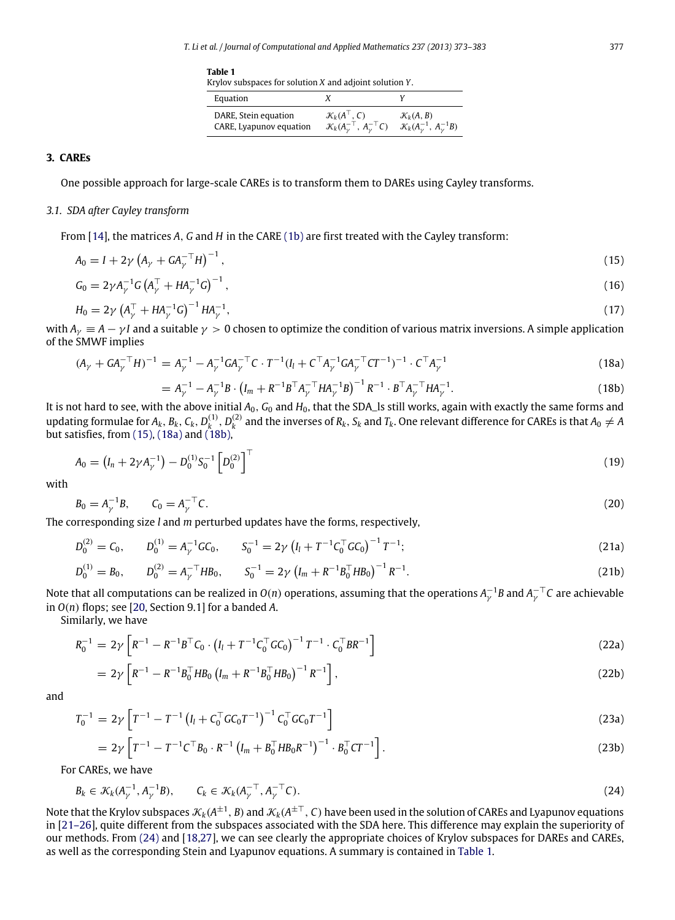<span id="page-4-4"></span>**Table 1**

Krylov subspaces for solution *X* and adjoint solution *Y*.

<span id="page-4-0"></span>

| Equation                |                                                    |                                          |
|-------------------------|----------------------------------------------------|------------------------------------------|
| DARE, Stein equation    | $\mathcal{K}_k(A^{\top}, C)$                       | $\mathcal{K}_k(A, B)$                    |
| CARE, Lyapunov equation | $\mathcal{K}_k(A_{\nu}^{-\top}, A_{\nu}^{-\top}C)$ | $\mathcal{K}_k(A_\nu^{-1}, A_\nu^{-1}B)$ |

## **3. CAREs**

One possible approach for large-scale CAREs is to transform them to DAREs using Cayley transforms.

#### *3.1. SDA after Cayley transform*

From [\[14\]](#page-10-6), the matrices *A*, *G* and *H* in the CARE [\(1b\)](#page-0-5) are first treated with the Cayley transform:

$$
A_0 = I + 2\gamma \left( A_\gamma + G A_\gamma^{-\top} H \right)^{-1},\tag{15}
$$

$$
G_0 = 2\gamma A_\gamma^{-1} G \left( A_\gamma^{\top} + H A_\gamma^{-1} G \right)^{-1}, \tag{16}
$$

$$
H_0 = 2\gamma \left( A_{\gamma}^{\top} + H A_{\gamma}^{-1} G \right)^{-1} H A_{\gamma}^{-1}, \tag{17}
$$

with  $A_{\nu} \equiv A - \gamma I$  and a suitable  $\gamma > 0$  chosen to optimize the condition of various matrix inversions. A simple application of the SMWF implies

$$
(A_{\gamma} + GA_{\gamma}^{-T}H)^{-1} = A_{\gamma}^{-1} - A_{\gamma}^{-1}GA_{\gamma}^{-T}C \cdot T^{-1}(I_{l} + C^{T}A_{\gamma}^{-1}GA_{\gamma}^{-T}CT^{-1})^{-1} \cdot C^{T}A_{\gamma}^{-1}
$$
\n(18a)

<span id="page-4-2"></span><span id="page-4-1"></span>
$$
= A_{\gamma}^{-1} - A_{\gamma}^{-1} B \cdot (I_m + R^{-1} B^{\top} A_{\gamma}^{-\top} H A_{\gamma}^{-1} B)^{-1} R^{-1} \cdot B^{\top} A_{\gamma}^{-\top} H A_{\gamma}^{-1}.
$$
\n(18b)

It is not hard to see, with the above initial  $A_0$ ,  $G_0$  and  $H_0$ , that the SDA<sub></sub>ls still works, again with exactly the same forms and updating formulae for  $A_k$ ,  $B_k$ ,  $C_k$ ,  $D_k^{(1)}$ ,  $D_k^{(2)}$  and the inverses of  $R_k$ ,  $S_k$  and  $T_k$ . One relevant difference for CAREs is that  $A_0 \neq A$ but satisfies, from [\(15\),](#page-4-0) [\(18a\)](#page-4-1) and [\(18b\),](#page-4-2)

$$
A_0 = (I_n + 2\gamma A_\gamma^{-1}) - D_0^{(1)} S_0^{-1} \left[ D_0^{(2)} \right]^\top
$$
\n(19)

with

$$
B_0 = A_{\gamma}^{-1} B, \qquad C_0 = A_{\gamma}^{-T} C. \tag{20}
$$

The corresponding size *l* and *m* perturbed updates have the forms, respectively,

$$
D_0^{(2)} = C_0, \qquad D_0^{(1)} = A_\gamma^{-1} G C_0, \qquad S_0^{-1} = 2\gamma \left( I_l + T^{-1} C_0^\top G C_0 \right)^{-1} T^{-1};
$$
\n(21a)

$$
D_0^{(1)} = B_0, \qquad D_0^{(2)} = A_\gamma^{-\top} H B_0, \qquad S_0^{-1} = 2\gamma \left( I_m + R^{-1} B_0^{\top} H B_0 \right)^{-1} R^{-1}.
$$
 (21b)

Note that all computations can be realized in  $O(n)$  operations, assuming that the operations  $A_\gamma^{-1}B$  and  $A_\gamma^{-\top}C$  are achievable in *O*(*n*) flops; see [\[20,](#page-10-12) Section 9.1] for a banded *A*.

Similarly, we have

$$
R_0^{-1} = 2\gamma \left[ R^{-1} - R^{-1}B^{\top}C_0 \cdot \left( I_l + T^{-1}C_0^{\top}GC_0 \right)^{-1} T^{-1} \cdot C_0^{\top} BR^{-1} \right]
$$
\n(22a)

$$
=2\gamma\left[R^{-1}-R^{-1}B_0^{\top}HB_0\left(I_m+R^{-1}B_0^{\top}HB_0\right)^{-1}R^{-1}\right],
$$
\n(22b)

and

$$
T_0^{-1} = 2\gamma \left[ T^{-1} - T^{-1} \left( I_l + C_0^\top G C_0 T^{-1} \right)^{-1} C_0^\top G C_0 T^{-1} \right]
$$
\n(23a)

<span id="page-4-3"></span>
$$
= 2\gamma \left[ T^{-1} - T^{-1}C^{\top}B_0 \cdot R^{-1} \left( I_m + B_0^{\top} H B_0 R^{-1} \right)^{-1} \cdot B_0^{\top} C T^{-1} \right].
$$
\n(23b)

For CAREs, we have

$$
B_k \in \mathcal{K}_k(A_\gamma^{-1}, A_\gamma^{-1}B), \qquad C_k \in \mathcal{K}_k(A_\gamma^{-\top}, A_\gamma^{-\top}C).
$$
\n
$$
(24)
$$

Note that the Krylov subspaces  $\mathcal K_k(A^{\pm1},B)$  and  $\mathcal K_k(A^{\pm\top},C)$  have been used in the solution of CAREs and Lyapunov equations in [\[21–26\]](#page-10-13), quite different from the subspaces associated with the SDA here. This difference may explain the superiority of our methods. From [\(24\)](#page-4-3) and [\[18,](#page-10-8)[27\]](#page-10-14), we can see clearly the appropriate choices of Krylov subspaces for DAREs and CAREs, as well as the corresponding Stein and Lyapunov equations. A summary is contained in [Table 1.](#page-4-4)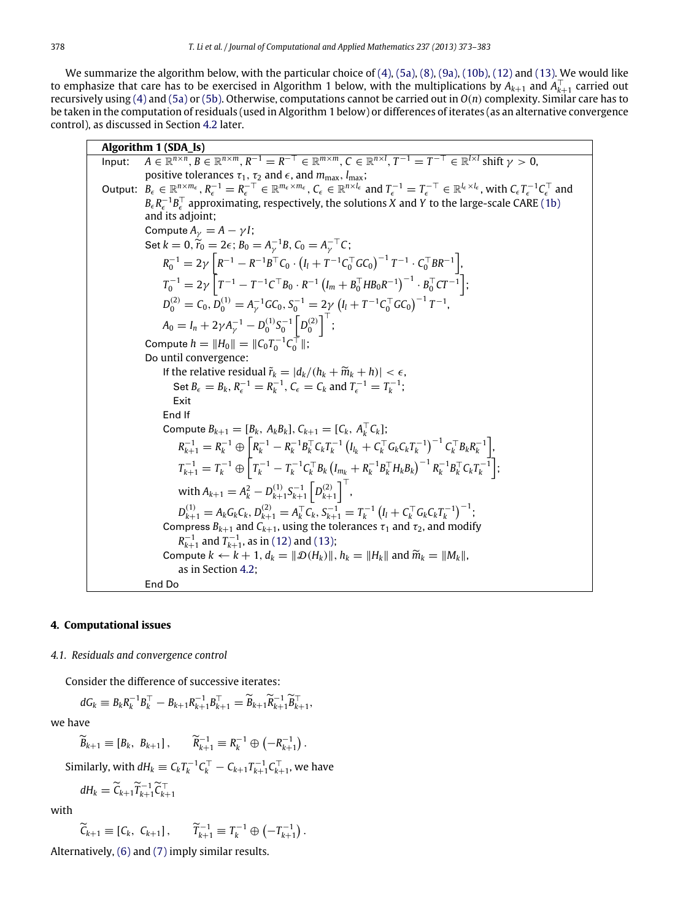We summarize the algorithm below, with the particular choice of  $(4)$ ,  $(5a)$ ,  $(8)$ ,  $(9a)$ ,  $(10b)$ ,  $(12)$  and  $(13)$ . We would like to emphasize that care has to be exercised in Algorithm 1 below, with the multiplications by  $A_{k+1}$  and  $A_{k+1}^T$  carried out recursively using [\(4\)](#page-1-3) and [\(5a\)](#page-1-1) or [\(5b\).](#page-1-2) Otherwise, computations cannot be carried out in *O*(*n*) complexity. Similar care has to be taken in the computation of residuals (used in Algorithm 1 below) or differences of iterates (as an alternative convergence control), as discussed in Section [4.2](#page-6-0) later.

### **Algorithm 1 (SDA\_ls)**

 $A \in \mathbb{R}^{n \times n}, B \in \mathbb{R}^{n \times m}, R^{-1} = R^{-\top} \in \mathbb{R}^{m \times m}, C \in \mathbb{R}^{n \times l}, T^{-1} = T^{-\top} \in \mathbb{R}^{l \times l}$  shift  $\gamma > 0$ , positive tolerances  $\tau_1$ ,  $\tau_2$  and  $\epsilon$ , and  $m_{\text{max}}$ ,  $l_{\text{max}}$ ; Output:  $B_{\epsilon} \in \mathbb{R}^{n \times m_{\epsilon}}$ ,  $R_{\epsilon}^{-1} = R_{\epsilon}^{-\top} \in \mathbb{R}^{m_{\epsilon} \times m_{\epsilon}}$ ,  $C_{\epsilon} \in \mathbb{R}^{n \times l_{\epsilon}}$  and  $T_{\epsilon}^{-1} = T_{\epsilon}^{-\top} \in \mathbb{R}^{l_{\epsilon} \times l_{\epsilon}}$ , with  $C_{\epsilon} T_{\epsilon}^{-1} C_{\epsilon}^{\top}$  and  $B_{\epsilon}R_{\epsilon}^{-1}B_{\epsilon}^{T}$  approximating, respectively, the solutions *X* and *Y* to the large-scale CARE [\(1b\)](#page-0-5) and its adjoint; Compute  $A_{\gamma} = A - \gamma I$ ; Set  $k = 0$ ,  $\tilde{r}_0 = 2\epsilon$ ;  $B_0 = A_\gamma^{-1}B$ ,  $C_0 = A_\gamma^{-1}C$ ;  $R_0^{-1} = 2\gamma \left[ R^{-1} - R^{-1}B^{\top}C_0 \cdot \left( I_l + T^{-1}C_0^{\top}GC_0 \right)^{-1} T^{-1} \cdot C_0^{\top} BR^{-1} \right],$  $T_0^{-1} = 2\gamma \left[ T^{-1} - T^{-1}C^\top B_0 \cdot R^{-1} \left( I_m + B_0^\top H B_0 R^{-1} \right)^{-1} \cdot B_0^\top C T^{-1} \right];$  $D_0^{(2)} = C_0, D_0^{(1)} = A_\gamma^{-1} G C_0, S_0^{-1} = 2 \gamma \left( I_l + T^{-1} C_0^\top G C_0 \right)^{-1} T^{-1},$  $A_0 = I_n + 2\gamma A_\gamma^{-1} - D_0^{(1)} S_0^{-1} \left[ D_0^{(2)} \right]^\top;$ Compute  $h = ||H_0|| = ||C_0T_0^{-1}C_0^{\dagger}||$ ; Do until convergence: If the relative residual  $\tilde{r}_k = |d_k/(h_k + \tilde{m}_k + h)| < \epsilon$ ,<br>Set  $B_{\epsilon} = B_k$ ,  $R_{\epsilon}^{-1} = R_k^{-1}$ ,  $C_{\epsilon} = C_k$  and  $T_{\epsilon}^{-1} = T_k^{-1}$ ; Exit End If  $\text{Compute } B_{k+1} = [B_k, A_k B_k], C_{k+1} = [C_k, A_k^{\top} C_k];$ *k*  $R_{k+1}^{-1} = R_k^{-1} \oplus \left[ R_k^{-1} - R_k^{-1} B_k^{\top} C_k T_k^{-1} (I_{l_k} + C_k^{\top} G_k C_k T_k^{-1})^{-1} C_k^{\top} B_k R_k^{-1} \right],$  $T_{k+1}^{-1} = T_k^{-1} \oplus \left[ T_k^{-1} - T_k^{-1} C_k^{\top} B_k \left( I_{m_k} + R_k^{-1} B_k^{\top} H_k B_k \right)^{-1} R_k^{-1} B_k^{\top} C_k T_k^{-1} \right];$  $\text{with } A_{k+1} = A_k^2 - D_{k+1}^{(1)} S_{k+1}^{-1} \left[ D_{k+1}^{(2)} \right]^\top,$  $D_{k+1}^{(1)} = A_k G_k C_k, D_{k+1}^{(2)} = A_k^{\top} C_k, S_{k+1}^{-1} = T_k^{-1} (I_l + C_k^{\top} G_k C_k T_k^{-1})^{-1};$ Compress  $B_{k+1}$  and  $C_{k+1}$ , using the tolerances  $\tau_1$  and  $\tau_2$ , and modify  $R_{k+1}^{-1}$  and  $T_{k+1}^{-1}$ , as in [\(12\)](#page-3-0) and [\(13\);](#page-3-1) Compute  $k \leftarrow k + 1$ ,  $d_k = ||\mathcal{D}(H_k)||$ ,  $h_k = ||H_k||$  and  $\widetilde{m}_k = ||M_k||$ , as in Section [4.2;](#page-6-0) End Do

## **4. Computational issues**

#### *4.1. Residuals and convergence control*

Consider the difference of successive iterates:

$$
dG_k \equiv B_k R_k^{-1} B_k^{\top} - B_{k+1} R_{k+1}^{-1} B_{k+1}^{\top} = \widetilde{B}_{k+1} \widetilde{R}_{k+1}^{-1} \widetilde{B}_{k+1}^{\top},
$$

we have

$$
\widetilde{B}_{k+1} \equiv [B_k, B_{k+1}], \qquad \widetilde{R}_{k+1}^{-1} \equiv R_k^{-1} \oplus (-R_{k+1}^{-1}).
$$

Similarly, with  $dH_k \equiv C_k T_k^{-1} C_k^\top - C_{k+1} T_{k+1}^{-1} C_{k+1}^\top$ , we have

$$
dH_k = \widetilde{C}_{k+1} \widetilde{T}_{k+1}^{-1} \widetilde{C}_{k+1}^\top
$$

with

$$
\widetilde{C}_{k+1} \equiv [C_k, C_{k+1}], \qquad \widetilde{T}_{k+1}^{-1} \equiv T_k^{-1} \oplus (-T_{k+1}^{-1}).
$$

Alternatively, [\(6\)](#page-2-7) and [\(7\)](#page-2-8) imply similar results.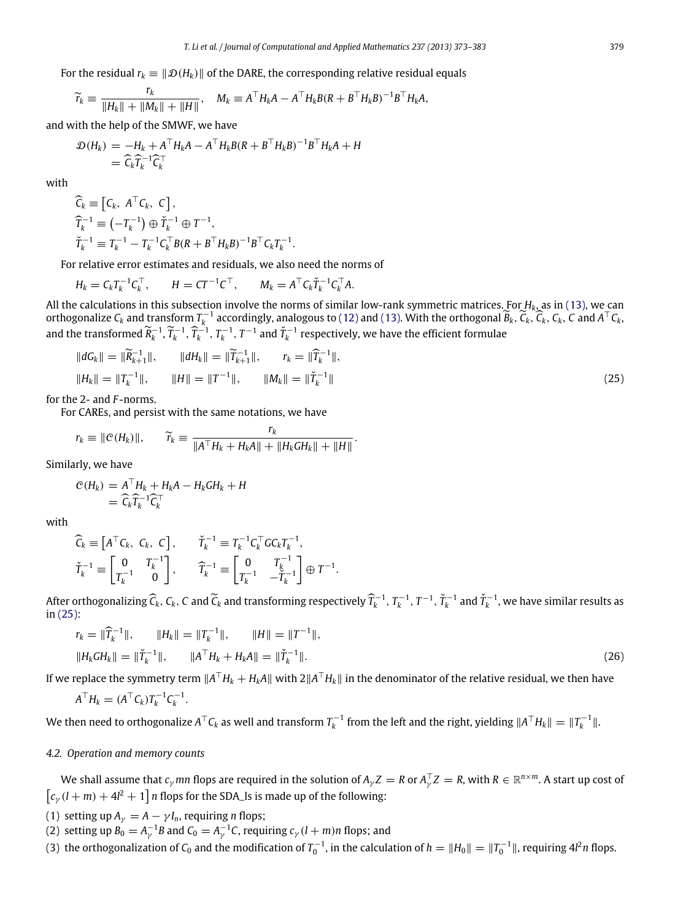For the residual  $r_k \equiv ||\mathcal{D}(H_k)||$  of the DARE, the corresponding relative residual equals

$$
\widetilde{r}_k \equiv \frac{r_k}{\|H_k\| + \|M_k\| + \|H\|}, \quad M_k \equiv A^{\top} H_k A - A^{\top} H_k B (R + B^{\top} H_k B)^{-1} B^{\top} H_k A,
$$

and with the help of the SMWF, we have

$$
\mathcal{D}(H_k) = -H_k + A^\top H_k A - A^\top H_k B (R + B^\top H_k B)^{-1} B^\top H_k A + H
$$
  
=  $\widehat{C}_k \widehat{T}_k^{-1} \widehat{C}_k^\top$ 

with

$$
\begin{aligned}\n\widehat{C}_k & \equiv \left[ C_k, \ A^{\top} C_k, \ C \right], \\
\widehat{T}_k^{-1} & \equiv \left( -T_k^{-1} \right) \oplus \widehat{T}_k^{-1} \oplus T^{-1}, \\
\widehat{T}_k^{-1} & \equiv T_k^{-1} - T_k^{-1} C_k^{\top} B (R + B^{\top} H_k B)^{-1} B^{\top} C_k T_k^{-1}\n\end{aligned}
$$

For relative error estimates and residuals, we also need the norms of

$$
H_k = C_k T_k^{-1} C_k^{\top}, \qquad H = C T^{-1} C^{\top}, \qquad M_k = A^{\top} C_k \check{T}_k^{-1} C_k^{\top} A.
$$

All the calculations in this subsection involve the norms of similar low-rank symmetric matrices. For *Hk*, as in [\(13\),](#page-3-1) we can orthogonalize  $C_k$  and transform  $T_k^{-1}$  accordingly, analogous to [\(12\)](#page-3-0) and [\(13\).](#page-3-1) With the orthogonal  $\widetilde{B}_k$ ,  $\widetilde{C}_k$ ,  $\widetilde{C}_k$ ,  $C_k$ ,  $C_k$ ,  $C$  and  $A^{\top}C_k$ , and the transformed  $\widetilde{R}_k^{-1}$ ,  $\widetilde{T}_k^{-1}$ ,  $\widetilde{T}_k^{-1}$ ,  $T_k^{-1}$ ,  $T^{-1}$  and  $\widetilde{T}_k^{-1}$  respectively, we have the efficient formulae

<span id="page-6-1"></span>.

$$
||dG_k|| = ||\widetilde{R}_{k+1}^{-1}||, \qquad ||dH_k|| = ||\widetilde{T}_{k+1}^{-1}||, \qquad r_k = ||\widehat{T}_k^{-1}||,
$$
  

$$
||H_k|| = ||T_k^{-1}||, \qquad ||H|| = ||T^{-1}||, \qquad ||M_k|| = ||\breve{T}_k^{-1}|| \qquad (25)
$$

for the 2- and *F* -norms.

For CAREs, and persist with the same notations, we have

$$
r_k \equiv \| \mathcal{C}(H_k) \|, \qquad \widetilde{r}_k \equiv \frac{r_k}{\|A^\top H_k + H_k A\| + \|H_k G H_k\| + \|H\|}.
$$

Similarly, we have

$$
C(H_k) = A^{\top} H_k + H_k A - H_k GH_k + H
$$
  
=  $\widehat{C}_k \widehat{T}_k^{-1} \widehat{C}_k^{\top}$ 

with

$$
\begin{aligned}\n\widehat{C}_k & \equiv \left[ A^\top C_k, \ C_k, \ C \right], & \tilde{T}_k^{-1} & \equiv T_k^{-1} C_k^\top G C_k T_k^{-1}, \\
\check{T}_k^{-1} & \equiv \begin{bmatrix} 0 & T_k^{-1} \\ T_k^{-1} & 0 \end{bmatrix}, & \widehat{T}_k^{-1} & \equiv \begin{bmatrix} 0 & T_k^{-1} \\ T_k^{-1} & -T_k^{-1} \end{bmatrix} \oplus T^{-1}.\n\end{aligned}
$$

After orthogonalizing  $\widehat{C}_k$ ,  $C_k$ ,  $C$  and  $\widetilde{C}_k$  and transforming respectively  $\widehat{T}_k^{-1}$ ,  $T_k^{-1}$ ,  $T^{-1}$ ,  $\widecheck{T}_k^{-1}$  and  $\widecheck{T}_k^{-1}$ , we have similar results as in [\(25\):](#page-6-1)

$$
r_k = \|\widehat{T}_k^{-1}\|, \qquad \|H_k\| = \|T_k^{-1}\|, \qquad \|H\| = \|T^{-1}\|,
$$
  

$$
\|H_kGH_k\| = \|\check{T}_k^{-1}\|, \qquad \|A^\top H_k + H_kA\| = \|\check{T}_k^{-1}\|.
$$
 (26)

If we replace the symmetry term ∥*A* <sup>⊤</sup>*H<sup>k</sup>* + *<sup>H</sup>kA*∥ with 2∥*<sup>A</sup>* <sup>⊤</sup>*Hk*∥ in the denominator of the relative residual, we then have

$$
A^{\top}H_k = (A^{\top}C_k)T_k^{-1}C_k^{-1}.
$$

We then need to orthogonalize A $^{\top}C_k$  as well and transform  $T_k^{-1}$  from the left and the right, yielding  $\|A^\top H_k\|=\|T_k^{-1}\|$ .

#### <span id="page-6-0"></span>*4.2. Operation and memory counts*

We shall assume that  $c_\gamma$  *mn* flops are required in the solution of  $A_\gamma Z=R$  or  $A_\gamma^\top Z=R$ , with  $R\in\mathbb{R}^{n\times m}$ . A start up cost of  $\left[c_{\gamma}(l+m)+4l^2+1\right]$  *n* flops for the SDA\_ls is made up of the following:

- (1) setting up  $A_{\gamma} = A \gamma I_n$ , requiring *n* flops;
- (2) setting up  $B_0 = A_\gamma^{-1}B$  and  $C_0 = A_\gamma^{-1}C$ , requiring  $c_\gamma (l+m)n$  flops; and
- (3) the orthogonalization of  $C_0$  and the modification of  $T_0^{-1}$ , in the calculation of  $h=\|H_0\|=\|T_0^{-1}\|$ , requiring 4l<sup>2</sup>n flops.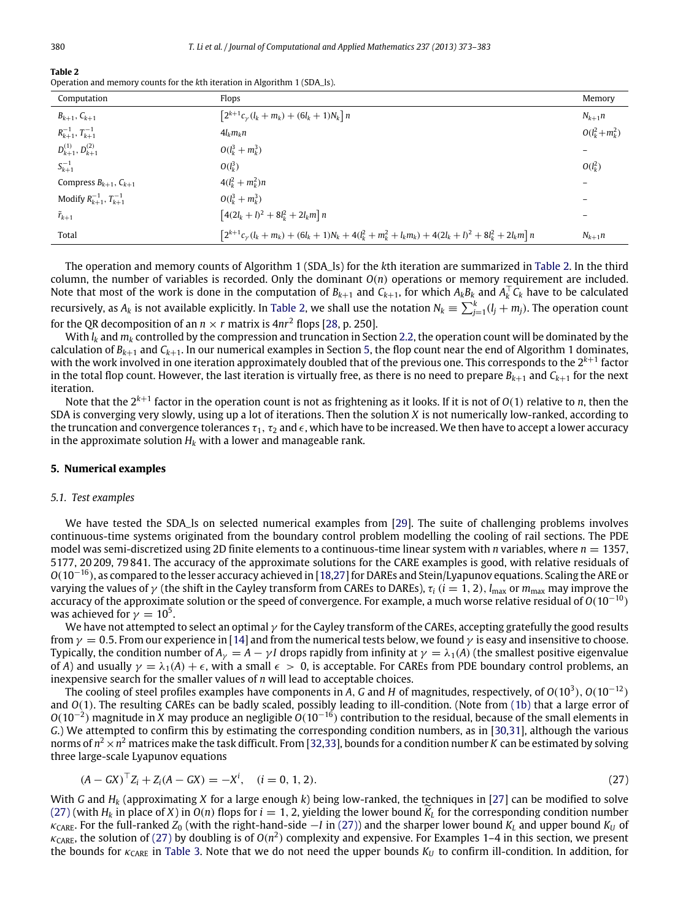<span id="page-7-0"></span>

|--|--|

| Operation and memory counts for the kth iteration in Algorithm 1 (SDA_ls). |  |  |  |  |
|----------------------------------------------------------------------------|--|--|--|--|
|                                                                            |  |  |  |  |

| Computation                            | Flops                                                                                                 | Memory             |
|----------------------------------------|-------------------------------------------------------------------------------------------------------|--------------------|
| $B_{k+1}, C_{k+1}$                     | $\left[2^{k+1}c_{\gamma}(l_k+m_k)+(6l_k+1)N_k\right]n$                                                | $N_{k+1}$ n        |
| $R_{k+1}^{-1}, T_{k+1}^{-1}$           | $4l_k m_k n$                                                                                          | $O(l_k^2 + m_k^2)$ |
| $D_{k+1}^{(1)}, D_{k+1}^{(2)}$         | $O(l_{\nu}^3 + m_{\nu}^3)$                                                                            |                    |
| $S_{k+1}^{-1}$                         | $O(l_k^3)$                                                                                            | $O(l_k^2)$         |
| Compress $B_{k+1}$ , $C_{k+1}$         | $4(l_{\nu}^2 + m_{\nu}^2)n$                                                                           |                    |
| Modify $R_{k+1}^{-1}$ , $T_{k+1}^{-1}$ | $O(l_{\nu}^3 + m_{\nu}^3)$                                                                            |                    |
| $\tilde{r}_{k+1}$                      | $[4(2l_k + l)^2 + 8l_k^2 + 2l_km]n$                                                                   |                    |
| Total                                  | $\left[2^{k+1}c_{\gamma}(l_k+m_k)+(6l_k+1)N_k+4(l_k^2+m_k^2+l_km_k)+4(2l_k+l)^2+8l_k^2+2l_km\right]n$ | $N_{k+1}$ n        |

The operation and memory counts of Algorithm 1 (SDA\_ls) for the *k*th iteration are summarized in [Table 2.](#page-7-0) In the third column, the number of variables is recorded. Only the dominant *O*(*n*) operations or memory requirement are included. Note that most of the work is done in the computation of  $B_{k+1}$  and  $C_{k+1}$ , for which  $A_kB_k$  and  $A_k^\top C_k$  have to be calculated recursively, as  $A_k$  is not available explicitly. In [Table 2,](#page-7-0) we shall use the notation  $N_k\equiv\sum_{j=1}^k(l_j+m_j).$  The operation count for the QR decomposition of an  $n \times r$  matrix is  $4nr^2$  flops [\[28,](#page-10-15) p. 250].

With  $l_k$  and  $m_k$  controlled by the compression and truncation in Section [2.2,](#page-2-9) the operation count will be dominated by the calculation of  $B_{k+1}$  and  $C_{k+1}$ . In our numerical examples in Section [5,](#page-7-1) the flop count near the end of Algorithm 1 dominates, with the work involved in one iteration approximately doubled that of the previous one. This corresponds to the 2*<sup>k</sup>*+<sup>1</sup> factor in the total flop count. However, the last iteration is virtually free, as there is no need to prepare  $B_{k+1}$  and  $C_{k+1}$  for the next iteration.

Note that the 2*<sup>k</sup>*+<sup>1</sup> factor in the operation count is not as frightening as it looks. If it is not of *O*(1) relative to *n*, then the SDA is converging very slowly, using up a lot of iterations. Then the solution *X* is not numerically low-ranked, according to the truncation and convergence tolerances  $\tau_1$ ,  $\tau_2$  and  $\epsilon$ , which have to be increased. We then have to accept a lower accuracy in the approximate solution  $H_k$  with a lower and manageable rank.

#### <span id="page-7-1"></span>**5. Numerical examples**

#### *5.1. Test examples*

We have tested the SDA\_ls on selected numerical examples from [\[29\]](#page-10-16). The suite of challenging problems involves continuous-time systems originated from the boundary control problem modelling the cooling of rail sections. The PDE model was semi-discretized using 2D finite elements to a continuous-time linear system with *n* variables, where *n* = 1357, 5177, 20 209, 79 841. The accuracy of the approximate solutions for the CARE examples is good, with relative residuals of *O*(10−<sup>16</sup>), as compared to the lesser accuracy achieved in [\[18](#page-10-8)[,27\]](#page-10-14) for DAREs and Stein/Lyapunov equations. Scaling the ARE or varying the values of  $\gamma$  (the shift in the Cayley transform from CAREs to DAREs),  $\tau_i$  ( $i = 1, 2$ ),  $l_{\text{max}}$  or  $m_{\text{max}}$  may improve the accuracy of the approximate solution or the speed of convergence. For example, a much worse relative residual of *O*(10−<sup>10</sup>) was achieved for  $\gamma = 10^5$ .

We have not attempted to select an optimal  $\gamma$  for the Cayley transform of the CAREs, accepting gratefully the good results from  $\gamma = 0.5$ . From our experience in [\[14\]](#page-10-6) and from the numerical tests below, we found  $\gamma$  is easy and insensitive to choose. Typically, the condition number of  $A_\gamma = A - \gamma I$  drops rapidly from infinity at  $\gamma = \lambda_1(A)$  (the smallest positive eigenvalue of *A*) and usually  $\gamma = \lambda_1(A) + \epsilon$ , with a small  $\epsilon > 0$ , is acceptable. For CAREs from PDE boundary control problems, an inexpensive search for the smaller values of *n* will lead to acceptable choices.

The cooling of steel profiles examples have components in *A*, *G* and *H* of magnitudes, respectively, of *O*(10<sup>3</sup> ), *O*(10−<sup>12</sup>) and *O*(1). The resulting CAREs can be badly scaled, possibly leading to ill-condition. (Note from [\(1b\)](#page-0-5) that a large error of *O*(10−<sup>2</sup> ) magnitude in *X* may produce an negligible *O*(10−<sup>16</sup>) contribution to the residual, because of the small elements in *G*.) We attempted to confirm this by estimating the corresponding condition numbers, as in [\[30,](#page-10-17)[31\]](#page-10-18), although the various norms of *n* <sup>2</sup>×*n* <sup>2</sup> matrices make the task difficult. From [\[32,](#page-10-19)[33\]](#page-10-20), bounds for a condition number *K* can be estimated by solving three large-scale Lyapunov equations

<span id="page-7-2"></span>
$$
(A - GX)^{\top} Z_i + Z_i (A - GX) = -X^i, \quad (i = 0, 1, 2).
$$
\n(27)

With *G* and *H<sup>k</sup>* (approximating *X* for a large enough *k*) being low-ranked, the techniques in [\[27\]](#page-10-14) can be modified to solve [\(27\)](#page-7-2) (with  $H_k$  in place of *X*) in  $O(n)$  flops for  $i = 1, 2$ , yielding the lower bound  $K_L$  for the corresponding condition number  $\kappa_{\text{CARE}}$ . For the full-ranked  $Z_0$  (with the right-hand-side  $-I$  in [\(27\)\)](#page-7-2) and the sharper lower bound  $K_L$  and upper bound  $K_U$  of  $\kappa_{\sf CARE}$ , the solution of [\(27\)](#page-7-2) by doubling is of  $O(n^2)$  complexity and expensive. For Examples 1–4 in this section, we present the bounds for κ<sub>CARE</sub> in [Table 3.](#page-8-0) Note that we do not need the upper bounds K<sub>*U*</sub> to confirm ill-condition. In addition, for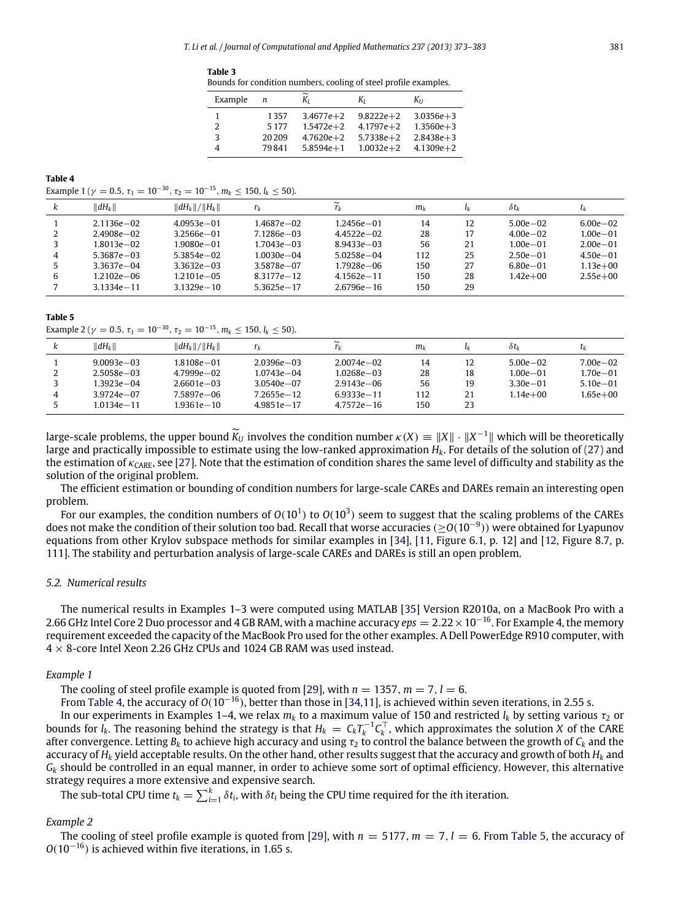<span id="page-8-0"></span>**Table 3** Bounds for condition numbers, cooling of steel profile examples.

| Example | n       | Kι            | K <sub>I</sub> | $K_{II}$      |
|---------|---------|---------------|----------------|---------------|
|         | 1357    | $3.4677e + 2$ | $9.8222e + 2$  | $3.0356e + 3$ |
|         | 5 1 7 7 | $1.5472e + 2$ | $4.1797e + 2$  | $1.3560e + 3$ |
| κ       | 20209   | $4.7620e + 2$ | $5.7338e + 2$  | $2.8438e + 3$ |
|         | 79841   | $5.8594e + 1$ | $1.0032e + 2$  | $4.1309e + 2$ |
|         |         |               |                |               |

#### <span id="page-8-1"></span>**Table 4**

Example 1 ( $\gamma = 0.5$ ,  $\tau_1 = 10^{-30}$ ,  $\tau_2 = 10^{-15}$ ,  $m_k \le 150$ ,  $l_k \le 50$ ).

| k | $\ dH_k\ $     | $  dH_k  /  H_k  $ | $r_k$          | $r_k$          | $m\nu$ | <sup>l</sup> k | $\delta t_{\nu}$ | $\mathfrak{r}_k$ |
|---|----------------|--------------------|----------------|----------------|--------|----------------|------------------|------------------|
|   | $2.1136e - 02$ | $4.0953e - 01$     | 1.4687e-02     | 1.2456e-01     | 14     | 12             | $5.00e - 02$     | $6.00e - 02$     |
|   | $2.4908e - 02$ | $3.2566e - 01$     | $7.1286e - 03$ | $4.4522e - 02$ | 28     | 17             | $4.00e - 02$     | $1.00e - 01$     |
|   | .8013e-02      | 1.9080e—01         | 1.7043e—03     | $8.9433e - 03$ | 56     | 21             | $1.00e - 01$     | $2.00e - 01$     |
| 4 | $5.3687e - 03$ | $5.3854e - 02$     | 1.0030e—04     | $5.0258e - 04$ | 112    | 25             | $2.50e - 01$     | $4.50e - 01$     |
|   | $3.3637e - 04$ | $3.3632e - 03$     | 3.5878e-07     | 1.7928e-06     | 150    | 27             | $6.80e - 01$     | $1.13e + 00$     |
| 6 | 1.2102e-06     | $1.2101e - 05$     | $8.3177e - 12$ | $4.1562e - 11$ | 150    | 28             | $1.42e + 00$     | $2.55e+00$       |
|   | $3.1334e - 11$ | $3.1329e - 10$     | $5.3625e - 17$ | $2.6796e - 16$ | 150    | 29             |                  |                  |

#### <span id="page-8-2"></span>**Table 5**

Example 2 ( $\gamma = 0.5$ ,  $\tau_1 = 10^{-30}$ ,  $\tau_2 = 10^{-15}$ ,  $m_k \le 150$ ,  $l_k \le 50$ ).

| ĸ | $\ dH_k\ $     | $  dH_k  /  H_k  $ |                | rı             | $m_{\nu}$ |    | δtι          | τı           |
|---|----------------|--------------------|----------------|----------------|-----------|----|--------------|--------------|
|   | $9.0093e - 03$ | $1.8108e - 01$     | $2.0396e - 03$ | $2.0074e - 02$ | 14        | 12 | $5.00e - 02$ | $7.00e - 02$ |
|   | $2.5058e - 03$ | $4.7999e - 02$     | $1.0743e - 04$ | $1.0268e - 03$ | 28        | 18 | $1.00e - 01$ | $1.70e - 01$ |
|   | 1.3923e-04     | $2.6601e - 03$     | $3.0540e - 07$ | $2.9143e - 06$ | 56        | 19 | $3.30e - 01$ | $5.10e - 01$ |
|   | $3.9724e - 07$ | 7.5897e-06         | $7.2655e - 12$ | $6.9333e - 11$ | 112       |    | $1.14e + 00$ | $1.65e + 00$ |
|   | 1.0134e—11     | 1.9361e-10         | $4.9851e - 17$ | $4.7572e - 16$ | 150       | 23 |              |              |

large-scale problems, the upper bound  $\widetilde{K}_U$  involves the condition number  $\kappa(X) \equiv ||X|| \cdot ||X^{-1}||$  which will be theoretically large and practically impossible to estimate using the low-ranked approximation *Hk*. For details of the solution of [\(27\)](#page-7-2) and the estimation of  $\kappa_{\text{CARE}}$ , see [\[27\]](#page-10-14). Note that the estimation of condition shares the same level of difficulty and stability as the solution of the original problem.

The efficient estimation or bounding of condition numbers for large-scale CAREs and DAREs remain an interesting open problem.

For our examples, the condition numbers of  $O(10^1)$  to  $O(10^3)$  seem to suggest that the scaling problems of the CAREs does not make the condition of their solution too bad. Recall that worse accuracies (≥*O*(10−<sup>9</sup> )) were obtained for Lyapunov equations from other Krylov subspace methods for similar examples in [\[34\]](#page-10-21), [\[11,](#page-10-5) Figure 6.1, p. 12] and [\[12,](#page-10-22) Figure 8.7, p. 111]. The stability and perturbation analysis of large-scale CAREs and DAREs is still an open problem.

## <span id="page-8-3"></span>*5.2. Numerical results*

The numerical results in Examples 1–3 were computed using MATLAB [\[35\]](#page-10-23) Version R2010a, on a MacBook Pro with a 2.66 GHz Intel Core 2 Duo processor and 4 GB RAM, with a machine accuracy *eps* = 2.22×10−<sup>16</sup>. For Example 4, the memory requirement exceeded the capacity of the MacBook Pro used for the other examples. A Dell PowerEdge R910 computer, with  $4 \times 8$ -core Intel Xeon 2.26 GHz CPUs and 1024 GB RAM was used instead.

#### *Example 1*

The cooling of steel profile example is quoted from [\[29\]](#page-10-16), with  $n = 1357$ ,  $m = 7$ ,  $l = 6$ .

From [Table 4,](#page-8-1) the accuracy of *O*(10−<sup>16</sup>), better than those in [\[34,](#page-10-21)[11\]](#page-10-5), is achieved within seven iterations, in 2.55 s.

In our experiments in Examples 1–4, we relax  $m_k$  to a maximum value of 150 and restricted  $l_k$  by setting various  $\tau_2$  or bounds for  $l_k$ . The reasoning behind the strategy is that  $H_k = C_k T_k^{-1} C_k^T$ , which approximates the solution *X* of the CARE after convergence. Letting  $B_k$  to achieve high accuracy and using  $\tau_2$  to control the balance between the growth of  $C_k$  and the accuracy of *H<sup>k</sup>* yield acceptable results. On the other hand, other results suggest that the accuracy and growth of both *H<sup>k</sup>* and  $G_k$  should be controlled in an equal manner, in order to achieve some sort of optimal efficiency. However, this alternative strategy requires a more extensive and expensive search.

The sub-total CPU time  $t_k = \sum_{i=1}^k \delta t_i$ , with  $\delta t_i$  being the CPU time required for the *i*th iteration.

#### *Example 2*

The cooling of steel profile example is quoted from [\[29\]](#page-10-16), with  $n = 5177$ ,  $m = 7$ ,  $l = 6$ . From [Table 5,](#page-8-2) the accuracy of *O*(10<sup>−16</sup>) is achieved within five iterations, in 1.65 s.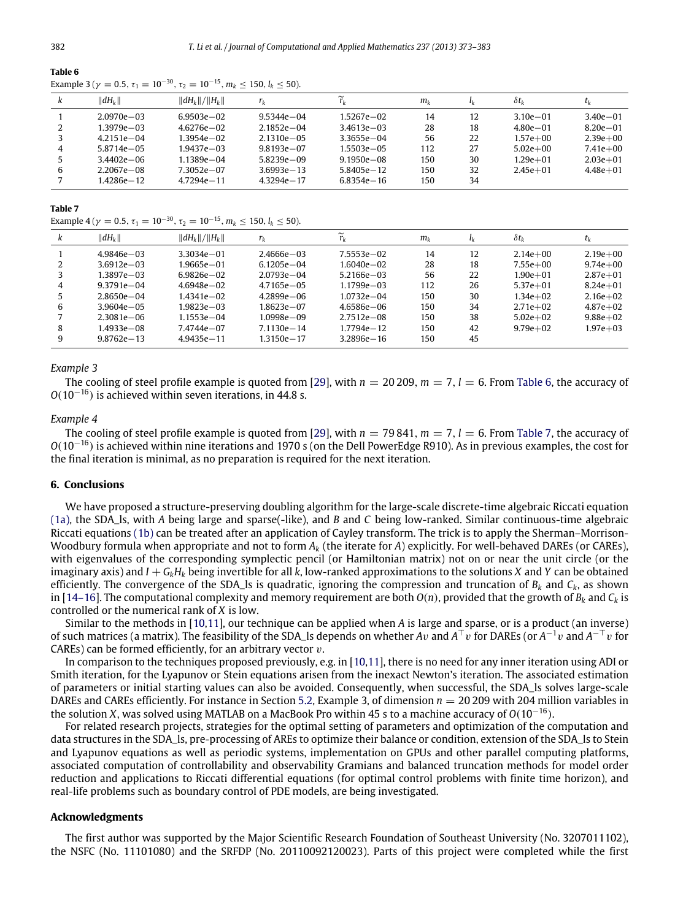#### <span id="page-9-0"></span>**Table 6** Example 3 ( $\gamma = 0.5$ ,  $\tau_1 = 10^{-30}$ ,  $\tau_2 = 10^{-15}$ ,  $m_k \le 150$ ,  $l_k \le 50$ ).

|   | $\ dH_k\ $     | $  dH_k  /  H_k  $ | $r_{\nu}$       | $\tilde{\phantom{a}}$ | $m_{k}$ | lķ | $\delta t_{\nu}$ | $t_k$        |
|---|----------------|--------------------|-----------------|-----------------------|---------|----|------------------|--------------|
|   | $2.0970e - 03$ | $6.9503e - 02$     | $9.5344e - 04$  | $1.5267e - 02$        | 14      | 12 | $3.10e - 01$     | $3.40e - 01$ |
|   | 1.3979e—03     | $4.6276e - 02$     | $2.1852e - 04$  | $3.4613e - 03$        | 28      | 18 | $4.80e - 01$     | $8.20e - 01$ |
|   | $4.2151e - 04$ | 1.3954e-02         | $2.1310e - 0.5$ | $3.3655e - 04$        | 56      | 22 | $1.57e + 00$     | $2.39e + 00$ |
| 4 | $5.8714e - 05$ | $1.9437e - 03$     | $9.8193e - 07$  | $1.5503e - 05$        | 112     | 27 | $5.02e + 00$     | $7.41e + 00$ |
|   | $3.4402e - 06$ | $1.1389e - 04$     | $5.8239e - 09$  | $9.1950e - 08$        | 150     | 30 | $1.29e + 01$     | $2.03e + 01$ |
| 6 | $2.2067e - 08$ | 7.3052e-07         | $36993e - 13$   | $5.8405e - 12$        | 150     | 32 | $2.45e+01$       | $4.48e + 01$ |
|   | 1.4286e-12     | $4.7294e - 11$     | $4.3294e - 17$  | $6.8354e - 16$        | 150     | 34 |                  |              |

#### <span id="page-9-1"></span>**Table 7**

Example 4 ( $\gamma = 0.5$ ,  $\tau_1 = 10^{-30}$ ,  $\tau_2 = 10^{-15}$ ,  $m_k \le 150$ ,  $l_k \le 50$ ).

| k | $\ dH_k\ $     | $  dH_k  /  H_k  $ | $r_k$          | $\widetilde{r}_k$ | m <sub>k</sub> | $l_k$ | $\delta t_k$ | $t_k$        |
|---|----------------|--------------------|----------------|-------------------|----------------|-------|--------------|--------------|
|   | $4.9846e - 03$ | $3.3034e - 01$     | $2.4666e - 03$ | $7.5553e - 02$    | 14             | 12    | $2.14e + 00$ | $2.19e + 00$ |
|   | $3.6912e - 03$ | 1.9665e—01         | $6.1205e - 04$ | $1.6040e - 02$    | 28             | 18    | $7.55e+00$   | $9.74e + 00$ |
|   | $.3897e - 03$  | $6.9826e - 02$     | $2.0793e - 04$ | $5.2166e - 03$    | 56             | 22    | $1.90e + 01$ | $2.87e + 01$ |
| 4 | $9.3791e - 04$ | $4.6948e - 02$     | $4.7165e - 05$ | $1.1799e - 03$    | 112            | 26    | $5.37e + 01$ | $8.24e + 01$ |
|   | $2.8650e - 04$ | $1.4341e - 02$     | $4.2899e - 06$ | $1.0732e - 04$    | 150            | 30    | $1.34e + 02$ | $2.16e + 02$ |
| 6 | $3.9604e - 05$ | 1.9823e-03         | $1.8623e - 07$ | $4.6586e - 06$    | 150            | 34    | $2.71e + 02$ | $4.87e + 02$ |
|   | $2.3081e - 06$ | $1.1553e - 04$     | $1.0998e - 09$ | $2.7512e - 08$    | 150            | 38    | $5.02e + 02$ | $9.88e + 02$ |
| 8 | l.4933e-08     | 7.4744e-07         | $7.1130e - 14$ | $1.7794e - 12$    | 150            | 42    | $9.79e + 02$ | $1.97e + 03$ |
| 9 | $9.8762e - 13$ | $4.9435e - 11$     | $1.3150e - 17$ | $3.2896e - 16$    | 150            | 45    |              |              |

#### *Example 3*

The cooling of steel profile example is quoted from [\[29\]](#page-10-16), with  $n = 20209$ ,  $m = 7$ ,  $l = 6$ . From [Table 6,](#page-9-0) the accuracy of *O*(10<sup>−16</sup>) is achieved within seven iterations, in 44.8 s.

#### *Example 4*

The cooling of steel profile example is quoted from [\[29\]](#page-10-16), with  $n = 79841$ ,  $m = 7$ ,  $l = 6$ . From [Table 7,](#page-9-1) the accuracy of *O*(10<sup>−16</sup>) is achieved within nine iterations and 1970 s (on the Dell PowerEdge R910). As in previous examples, the cost for the final iteration is minimal, as no preparation is required for the next iteration.

## **6. Conclusions**

We have proposed a structure-preserving doubling algorithm for the large-scale discrete-time algebraic Riccati equation [\(1a\),](#page-0-6) the SDA\_ls, with *A* being large and sparse(-like), and *B* and *C* being low-ranked. Similar continuous-time algebraic Riccati equations [\(1b\)](#page-0-5) can be treated after an application of Cayley transform. The trick is to apply the Sherman–Morrison-Woodbury formula when appropriate and not to form *A<sup>k</sup>* (the iterate for *A*) explicitly. For well-behaved DAREs (or CAREs), with eigenvalues of the corresponding symplectic pencil (or Hamiltonian matrix) not on or near the unit circle (or the imaginary axis) and  $I + G_k H_k$  being invertible for all k, low-ranked approximations to the solutions *X* and *Y* can be obtained efficiently. The convergence of the SDA\_ls is quadratic, ignoring the compression and truncation of  $B_k$  and  $C_k$ , as shown in [\[14–16\]](#page-10-6). The computational complexity and memory requirement are both  $O(n)$ , provided that the growth of  $B_k$  and  $C_k$  is controlled or the numerical rank of *X* is low.

Similar to the methods in [\[10](#page-10-4)[,11\]](#page-10-5), our technique can be applied when *A* is large and sparse, or is a product (an inverse) of such matrices (a matrix). The feasibility of the SDA\_ls depends on whether *Av* and *A*<sup>⊤</sup>*v* for DAREs (or *A*<sup>−1</sup>*v* and *A*<sup>−⊤</sup>*v* for CAREs) can be formed efficiently, for an arbitrary vector  $v$ .

In comparison to the techniques proposed previously, e.g. in [\[10,](#page-10-4)[11\]](#page-10-5), there is no need for any inner iteration using ADI or Smith iteration, for the Lyapunov or Stein equations arisen from the inexact Newton's iteration. The associated estimation of parameters or initial starting values can also be avoided. Consequently, when successful, the SDA\_ls solves large-scale DAREs and CAREs efficiently. For instance in Section [5.2,](#page-8-3) Example 3, of dimension  $n = 20209$  with 204 million variables in the solution *X*, was solved using MATLAB on a MacBook Pro within 45 s to a machine accuracy of *O*(10−<sup>16</sup>).

For related research projects, strategies for the optimal setting of parameters and optimization of the computation and data structures in the SDA\_ls, pre-processing of AREs to optimize their balance or condition, extension of the SDA\_ls to Stein and Lyapunov equations as well as periodic systems, implementation on GPUs and other parallel computing platforms, associated computation of controllability and observability Gramians and balanced truncation methods for model order reduction and applications to Riccati differential equations (for optimal control problems with finite time horizon), and real-life problems such as boundary control of PDE models, are being investigated.

## **Acknowledgments**

The first author was supported by the Major Scientific Research Foundation of Southeast University (No. 3207011102), the NSFC (No. 11101080) and the SRFDP (No. 20110092120023). Parts of this project were completed while the first